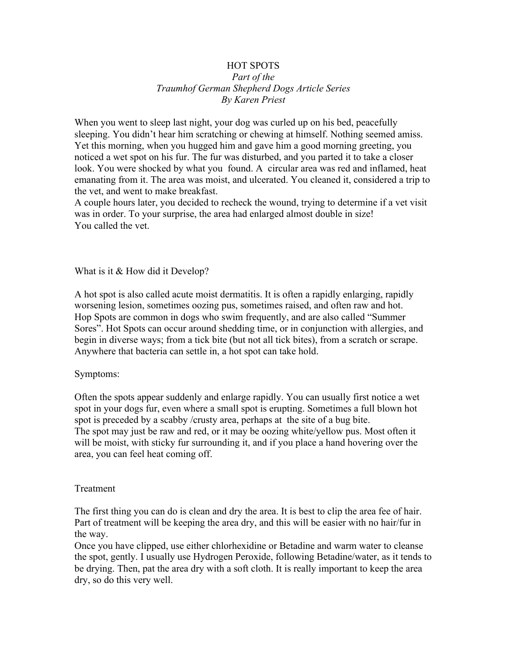## HOT SPOTS *Part of the Traumhof German Shepherd Dogs Article Series By Karen Priest*

When you went to sleep last night, your dog was curled up on his bed, peacefully sleeping. You didn't hear him scratching or chewing at himself. Nothing seemed amiss. Yet this morning, when you hugged him and gave him a good morning greeting, you noticed a wet spot on his fur. The fur was disturbed, and you parted it to take a closer look. You were shocked by what you found. A circular area was red and inflamed, heat emanating from it. The area was moist, and ulcerated. You cleaned it, considered a trip to the vet, and went to make breakfast.

A couple hours later, you decided to recheck the wound, trying to determine if a vet visit was in order. To your surprise, the area had enlarged almost double in size! You called the vet.

What is it & How did it Develop?

A hot spot is also called acute moist dermatitis. It is often a rapidly enlarging, rapidly worsening lesion, sometimes oozing pus, sometimes raised, and often raw and hot. Hop Spots are common in dogs who swim frequently, and are also called "Summer Sores". Hot Spots can occur around shedding time, or in conjunction with allergies, and begin in diverse ways; from a tick bite (but not all tick bites), from a scratch or scrape. Anywhere that bacteria can settle in, a hot spot can take hold.

## Symptoms:

Often the spots appear suddenly and enlarge rapidly. You can usually first notice a wet spot in your dogs fur, even where a small spot is erupting. Sometimes a full blown hot spot is preceded by a scabby /crusty area, perhaps at the site of a bug bite. The spot may just be raw and red, or it may be oozing white/yellow pus. Most often it will be moist, with sticky fur surrounding it, and if you place a hand hovering over the area, you can feel heat coming off.

## **Treatment**

The first thing you can do is clean and dry the area. It is best to clip the area fee of hair. Part of treatment will be keeping the area dry, and this will be easier with no hair/fur in the way.

Once you have clipped, use either chlorhexidine or Betadine and warm water to cleanse the spot, gently. I usually use Hydrogen Peroxide, following Betadine/water, as it tends to be drying. Then, pat the area dry with a soft cloth. It is really important to keep the area dry, so do this very well.